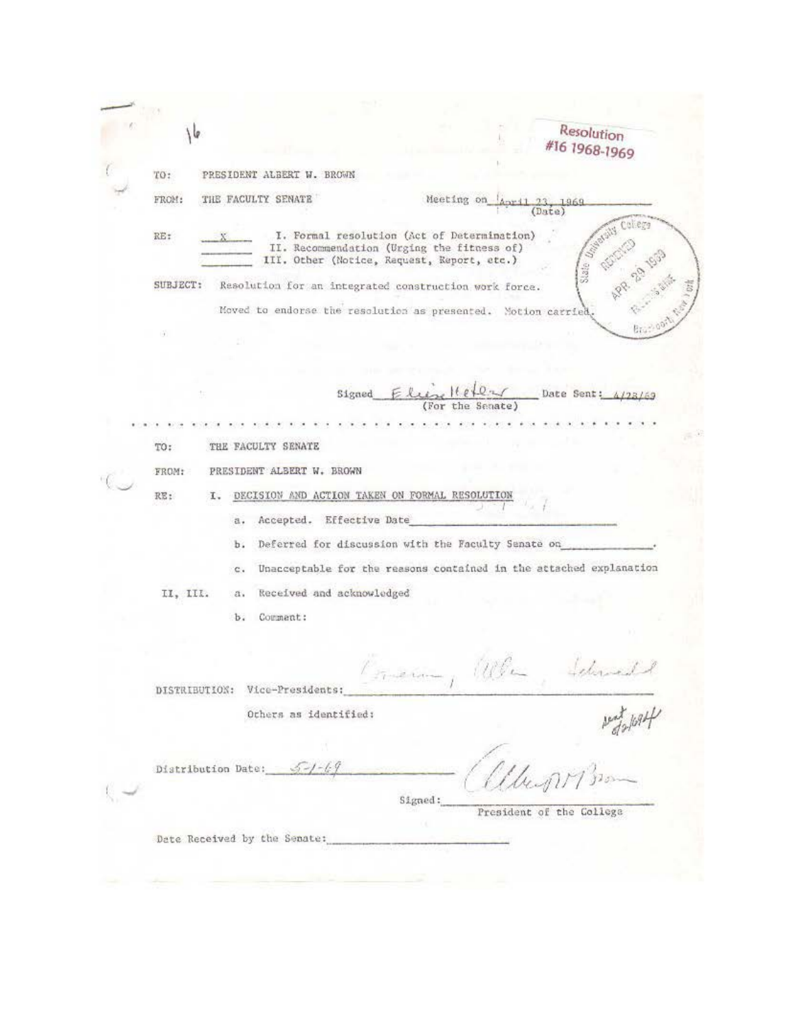Resolution  $16$ #16 1968-1969 PRESIDENT ALBERT W. BROWN TO: FROM: THE FACULTY SENATE Meeting on 1969 (Date) I. Formal resolution (Act of Determination) RE: II. Recommendation (Urging the fitness of) III. Other (Notice, Request, Report, etc.) SUBJECT: Resolution for an integrated construction work force. Moved to endorse the resolution as presented. Notion carried Signed Date Sent:  $123/69$ (For the Sanate) THE FACULTY SENATE TO: FROM: PRESIDENT ALBERT W. BROWN I. DECISION AND ACTION TAKEN ON FORMAL RESOLUTION RE: a. Accepted. Effective Date b. Deferred for discussion with the Faculty Senate on Unacceptable for the reasons contained in the attached explanation  $\mathbf{c}$ . Received and acknowledged II, III.  $a.$ b. Commant:  $11112$ . B. Corren DISTRIBUTION: Vice-Presidents:  $100 + 100 + 100$ Others as identified: Distribution Date:  $5 - 1 - 69$ Signed: President of the College Date Received by the Senate: